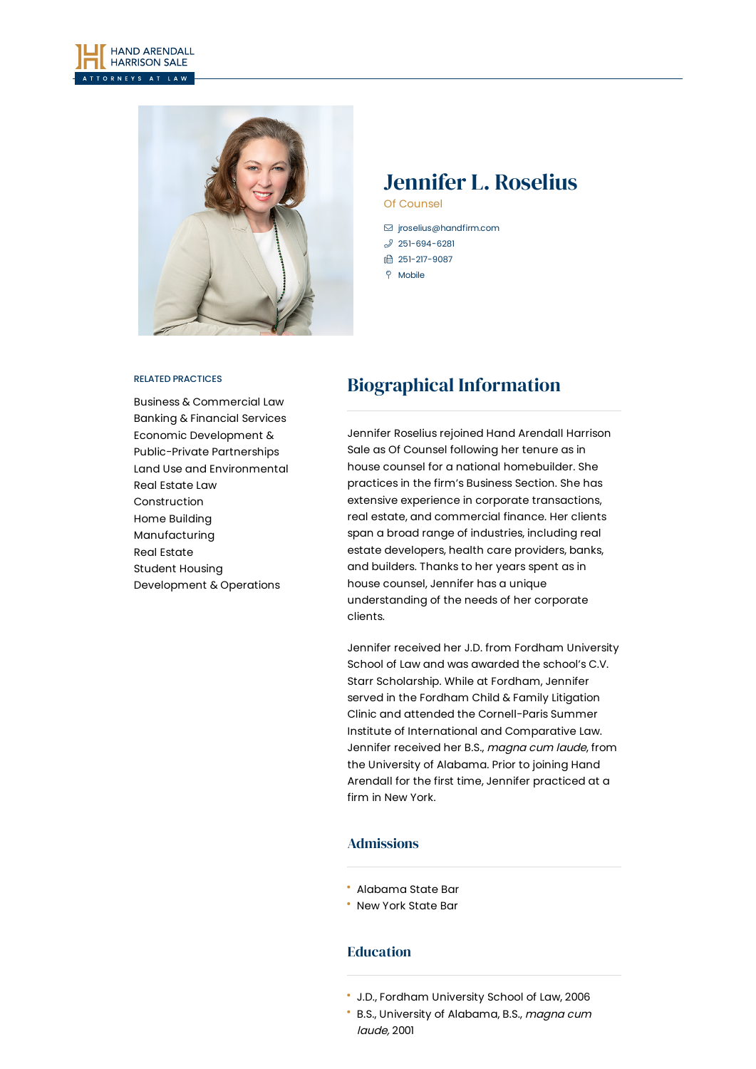



# Jennifer L. Roselius

Of Counsel

- [jroselius@handfirm.com](mailto:jroselius@handfirm.com)
- $$251-694-6281$  $$251-694-6281$
- 1 251-217-9087
- $\degree$  Mobile

#### RELATED PRACTICES

Business & [Commercial](https://www.handfirm.com/practices/business-services/business-commercial-law/) Law Banking & [Financial](https://www.handfirm.com/practices/business-services/banking-financial-services/) Services Economic Development & [Public-Private](https://www.handfirm.com/practices/business-services/economic-development-public-private-partnerships/) Partnerships Land Use and [Environmental](https://www.handfirm.com/practices/business-services/land-use-and-environmental/) Real [Estate](https://www.handfirm.com/practices/business-services/real-estate-law/) Law [Construction](https://www.handfirm.com/practices/industries/construction/) Home [Building](https://www.handfirm.com/practices/industries/home-building/) [Manufacturing](https://www.handfirm.com/practices/industries/manufacturing/) Real [Estate](https://www.handfirm.com/practices/industries/real-estate/) Student Housing [Development](https://www.handfirm.com/practices/industries/student-housing-development-operations/) & Operations

# Biographical Information

Jennifer Roselius rejoined Hand Arendall Harrison Sale as Of Counsel following her tenure as in house counsel for a national homebuilder. She practices in the firm's Business Section. She has extensive experience in corporate transactions, real estate, and commercial finance. Her clients span a broad range of industries, including real estate developers, health care providers, banks, and builders. Thanks to her years spent as in house counsel, Jennifer has a unique understanding of the needs of her corporate clients.

Jennifer received her J.D. from Fordham University School of Law and was awarded the school's C.V. Starr Scholarship. While at Fordham, Jennifer served in the Fordham Child & Family Litigation Clinic and attended the Cornell-Paris Summer Institute of International and Comparative Law. Jennifer received her B.S., magna cum laude, from the University of Alabama. Prior to joining Hand Arendall for the first time, Jennifer practiced at a firm in New York.

## Admissions

- Alabama State Bar
- New York State Bar

## Education

- J.D., Fordham University School of Law, 2006
- B.S., University of Alabama, B.S., magna cum laude, 2001